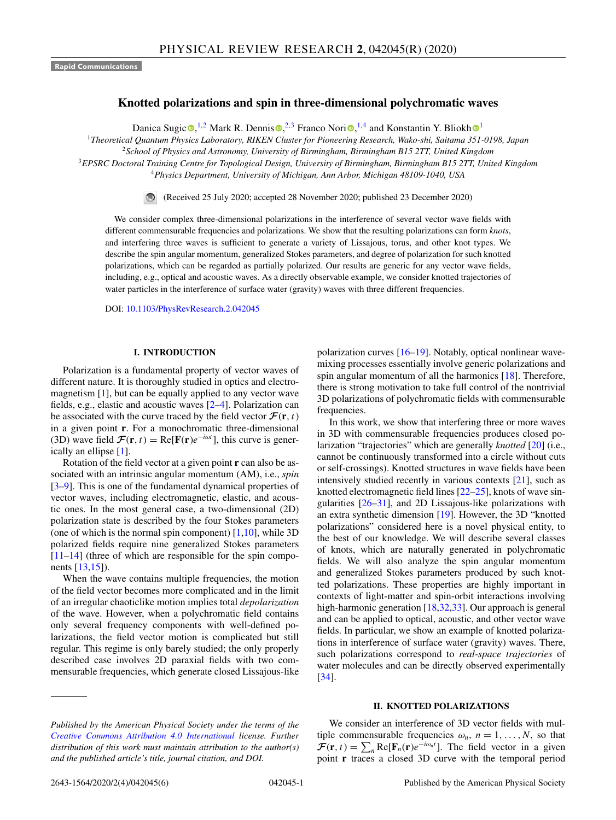# **Knotted polarizations and spin in three-dimensional polychromatic waves**

Dani[c](https://orcid.org/0000-0002-1545-2400)a Sugic  $\mathbf{D}$  $\mathbf{D}$  $\mathbf{D}$ [,](https://orcid.org/0000-0003-3682-7432)<sup>1,2</sup> Mark R. Dennis  $\mathbf{D}$ ,<sup>2,3</sup> Franco Nori  $\mathbf{D}$ ,<sup>1,4</sup> and Konstantin Y. Bliokh  $\mathbf{D}$ <sup>1</sup>

<sup>1</sup>*Theoretical Quantum Physics Laboratory, RIKEN Cluster for Pioneering Research, Wako-shi, Saitama 351-0198, Japan*

<sup>2</sup>*School of Physics and Astronomy, University of Birmingham, Birmingham B15 2TT, United Kingdom*

<sup>3</sup>*EPSRC Doctoral Training Centre for Topological Design, University of Birmingham, Birmingham B15 2TT, United Kingdom*

<sup>4</sup>*Physics Department, University of Michigan, Ann Arbor, Michigan 48109-1040, USA*

(Received 25 July 2020; accepted 28 November 2020; published 23 December 2020)

We consider complex three-dimensional polarizations in the interference of several vector wave fields with different commensurable frequencies and polarizations. We show that the resulting polarizations can form *knots*, and interfering three waves is sufficient to generate a variety of Lissajous, torus, and other knot types. We describe the spin angular momentum, generalized Stokes parameters, and degree of polarization for such knotted polarizations, which can be regarded as partially polarized. Our results are generic for any vector wave fields, including, e.g., optical and acoustic waves. As a directly observable example, we consider knotted trajectories of water particles in the interference of surface water (gravity) waves with three different frequencies.

DOI: [10.1103/PhysRevResearch.2.042045](https://doi.org/10.1103/PhysRevResearch.2.042045)

# **I. INTRODUCTION**

Polarization is a fundamental property of vector waves of different nature. It is thoroughly studied in optics and electromagnetism [\[1\]](#page-4-0), but can be equally applied to any vector wave fields, e.g., elastic and acoustic waves [\[2–4\]](#page-4-0). Polarization can be associated with the curve traced by the field vector  $\mathcal{F}(\mathbf{r}, t)$ in a given point **r**. For a monochromatic three-dimensional (3D) wave field  $\mathcal{F}(\mathbf{r}, t) = \text{Re}[\mathbf{F}(\mathbf{r})e^{-i\omega t}]$ , this curve is generically an ellipse [\[1\]](#page-4-0).

Rotation of the field vector at a given point **r** can also be associated with an intrinsic angular momentum (AM), i.e., *spin* [\[3–9\]](#page-4-0). This is one of the fundamental dynamical properties of vector waves, including electromagnetic, elastic, and acoustic ones. In the most general case, a two-dimensional (2D) polarization state is described by the four Stokes parameters (one of which is the normal spin component)  $[1,10]$ , while 3D polarized fields require nine generalized Stokes parameters [\[11–14\]](#page-4-0) (three of which are responsible for the spin components [\[13,15\]](#page-4-0)).

When the wave contains multiple frequencies, the motion of the field vector becomes more complicated and in the limit of an irregular chaoticlike motion implies total *depolarization* of the wave. However, when a polychromatic field contains only several frequency components with well-defined polarizations, the field vector motion is complicated but still regular. This regime is only barely studied; the only properly described case involves 2D paraxial fields with two commensurable frequencies, which generate closed Lissajous-like polarization curves  $[16–19]$ . Notably, optical nonlinear wavemixing processes essentially involve generic polarizations and spin angular momentum of all the harmonics [\[18\]](#page-4-0). Therefore, there is strong motivation to take full control of the nontrivial 3D polarizations of polychromatic fields with commensurable frequencies.

In this work, we show that interfering three or more waves in 3D with commensurable frequencies produces closed polarization "trajectories" which are generally *knotted* [\[20\]](#page-4-0) (i.e., cannot be continuously transformed into a circle without cuts or self-crossings). Knotted structures in wave fields have been intensively studied recently in various contexts [\[21\]](#page-4-0), such as knotted electromagnetic field lines [\[22–25\]](#page-4-0), knots of wave singularities [\[26](#page-4-0)[–31\]](#page-5-0), and 2D Lissajous-like polarizations with an extra synthetic dimension [\[19\]](#page-4-0). However, the 3D "knotted polarizations" considered here is a novel physical entity, to the best of our knowledge. We will describe several classes of knots, which are naturally generated in polychromatic fields. We will also analyze the spin angular momentum and generalized Stokes parameters produced by such knotted polarizations. These properties are highly important in contexts of light-matter and spin-orbit interactions involving high-harmonic generation [\[18,](#page-4-0)[32,33\]](#page-5-0). Our approach is general and can be applied to optical, acoustic, and other vector wave fields. In particular, we show an example of knotted polarizations in interference of surface water (gravity) waves. There, such polarizations correspond to *real-space trajectories* of water molecules and can be directly observed experimentally [\[34\]](#page-5-0).

# **II. KNOTTED POLARIZATIONS**

*Published by the American Physical Society under the terms of the [Creative Commons Attribution 4.0 International](https://creativecommons.org/licenses/by/4.0/) license. Further distribution of this work must maintain attribution to the author(s) and the published article's title, journal citation, and DOI.*

We consider an interference of 3D vector fields with multiple commensurable frequencies  $\omega_n$ ,  $n = 1, \ldots, N$ , so that  $\mathcal{F}(\mathbf{r}, t) = \sum_{n} \text{Re}[\mathbf{F}_n(\mathbf{r})e^{-i\omega_n t}]$ . The field vector in a given point **r** traces a closed 3D curve with the temporal period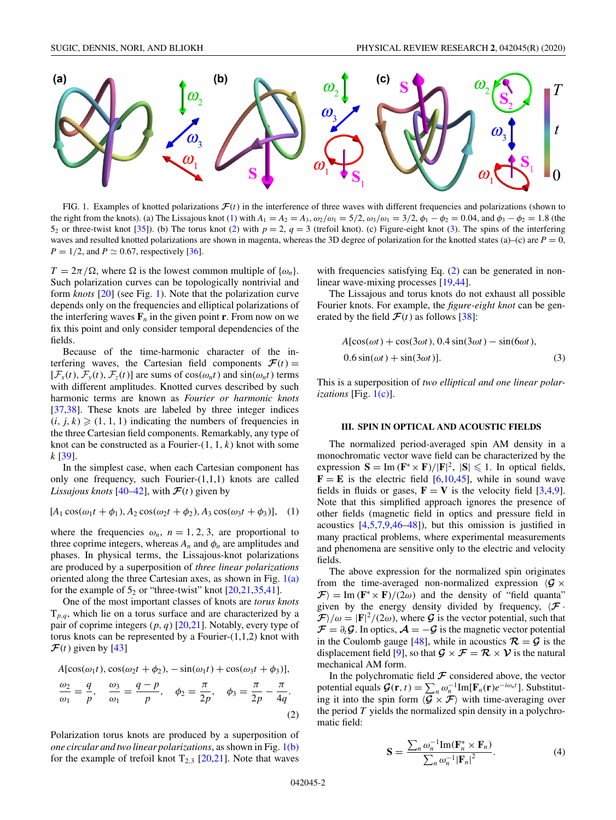<span id="page-1-0"></span>

FIG. 1. Examples of knotted polarizations  $\mathcal{F}(t)$  in the interference of three waves with different frequencies and polarizations (shown to the right from the knots). (a) The Lissajous knot (1) with  $A_1 = A_2 = A_3$ ,  $\omega_2/\omega_1 = 5/2$ ,  $\omega_3/\omega_1 = 3/2$ ,  $\phi_1 - \phi_2 = 0.04$ , and  $\phi_3 - \phi_2 = 1.8$  (the 5<sub>2</sub> or three-twist knot [\[35\]](#page-5-0)). (b) The torus knot (2) with  $p = 2$ ,  $q = 3$  (trefoil knot). (c) Figure-eight knot (3). The spins of the interfering waves and resulted knotted polarizations are shown in magenta, whereas the 3D degree of polarization for the knotted states (a)–(c) are  $P = 0$ ,  $P = 1/2$ , and  $P \simeq 0.67$ , respectively [\[36\]](#page-5-0).

 $T = 2\pi/\Omega$ , where  $\Omega$  is the lowest common multiple of  $\{\omega_n\}$ . Such polarization curves can be topologically nontrivial and form *knots* [\[20\]](#page-4-0) (see Fig. 1). Note that the polarization curve depends only on the frequencies and elliptical polarizations of the interfering waves  $\mathbf{F}_n$  in the given point **r**. From now on we fix this point and only consider temporal dependencies of the fields.

Because of the time-harmonic character of the interfering waves, the Cartesian field components  $\mathcal{F}(t) =$  $[\mathcal{F}_x(t), \mathcal{F}_y(t), \mathcal{F}_z(t)]$  are sums of  $cos(\omega_n t)$  and  $sin(\omega_n t)$  terms with different amplitudes. Knotted curves described by such harmonic terms are known as *Fourier or harmonic knots* [\[37,38\]](#page-5-0). These knots are labeled by three integer indices  $(i, j, k) \geq (1, 1, 1)$  indicating the numbers of frequencies in the three Cartesian field components. Remarkably, any type of knot can be constructed as a Fourier-(1, 1, *k*) knot with some *k* [\[39\]](#page-5-0).

In the simplest case, when each Cartesian component has only one frequency, such Fourier-(1,1,1) knots are called *Lissajous knots* [\[40–42\]](#page-5-0), with  $\mathcal{F}(t)$  given by

$$
[A_1 \cos(\omega_1 t + \phi_1), A_2 \cos(\omega_2 t + \phi_2), A_3 \cos(\omega_3 t + \phi_3)], \quad (1)
$$

where the frequencies  $\omega_n$ ,  $n = 1, 2, 3$ , are proportional to three coprime integers, whereas  $A_n$  and  $\phi_n$  are amplitudes and phases. In physical terms, the Lissajous-knot polarizations are produced by a superposition of *three linear polarizations* oriented along the three Cartesian axes, as shown in Fig.  $1(a)$ for the example of  $5<sub>2</sub>$  or "three-twist" knot  $[20,21,35,41]$  $[20,21,35,41]$ .

One of the most important classes of knots are *torus knots*  $T_{p,q}$ , which lie on a torus surface and are characterized by a pair of coprime integers (*p*, *q*) [\[20,21\]](#page-4-0). Notably, every type of torus knots can be represented by a Fourier- $(1,1,2)$  knot with  $\mathcal{F}(t)$  given by [\[43\]](#page-5-0)

$$
A[\cos(\omega_1 t), \cos(\omega_2 t + \phi_2), -\sin(\omega_1 t) + \cos(\omega_3 t + \phi_3)],
$$
  
\n
$$
\frac{\omega_2}{\omega_1} = \frac{q}{p}, \quad \frac{\omega_3}{\omega_1} = \frac{q - p}{p}, \quad \phi_2 = \frac{\pi}{2p}, \quad \phi_3 = \frac{\pi}{2p} - \frac{\pi}{4q}.
$$
  
\n(2)

Polarization torus knots are produced by a superposition of *one circular and two linear polarizations*, as shown in Fig. 1(b) for the example of trefoil knot  $T_{2,3}$  [\[20,21\]](#page-4-0). Note that waves with frequencies satisfying Eq. (2) can be generated in nonlinear wave-mixing processes [\[19](#page-4-0)[,44\]](#page-5-0).

The Lissajous and torus knots do not exhaust all possible Fourier knots. For example, the *figure-eight knot* can be generated by the field  $\mathcal{F}(t)$  as follows [\[38\]](#page-5-0):

$$
A[\cos(\omega t) + \cos(3\omega t), 0.4\sin(3\omega t) - \sin(6\omega t),
$$
  
0.6 \sin(\omega t) + \sin(3\omega t)]. (3)

This is a superposition of *two elliptical and one linear polarizations* [Fig. 1(c)].

### **III. SPIN IN OPTICAL AND ACOUSTIC FIELDS**

The normalized period-averaged spin AM density in a monochromatic vector wave field can be characterized by the expression  $S = \text{Im}(\mathbf{F}^* \times \mathbf{F})/|\mathbf{F}|^2$ ,  $|S| \leq 1$ . In optical fields,  **is the electric field [\[6,10](#page-4-0)[,45\]](#page-5-0), while in sound wave** fields in fluids or gases,  $\mathbf{F} = \mathbf{V}$  is the velocity field [\[3,4,9\]](#page-4-0). Note that this simplified approach ignores the presence of other fields (magnetic field in optics and pressure field in acoustics [\[4,5,7,9](#page-4-0)[,46–48\]](#page-5-0)), but this omission is justified in many practical problems, where experimental measurements and phenomena are sensitive only to the electric and velocity fields.

The above expression for the normalized spin originates from the time-averaged non-normalized expression  $\langle \mathcal{G} \times$  $\mathcal{F}$  = Im ( $\mathbf{F}^* \times \mathbf{F}$ )/(2ω) and the density of "field quanta" given by the energy density divided by frequency,  $\mathcal{F}$ .  $\mathcal{F}/\omega = |\mathbf{F}|^2/(2\omega)$ , where *G* is the vector potential, such that  $\mathcal{F} = \partial_t \mathcal{G}$ . In optics,  $\mathcal{A} = -\mathcal{G}$  is the magnetic vector potential in the Coulomb gauge [\[48\]](#page-5-0), while in acoustics  $\mathcal{R} = \mathcal{G}$  is the displacement field [\[9\]](#page-4-0), so that  $\mathcal{G} \times \mathcal{F} = \mathcal{R} \times \mathcal{V}$  is the natural mechanical AM form.

In the polychromatic field  $\mathcal F$  considered above, the vector potential equals  $\mathcal{G}(\mathbf{r}, t) = \sum_{n} \omega_n^{-1} \text{Im}[\mathbf{F}_n(\mathbf{r})e^{-i\omega_n t}]$ . Substituting it into the spin form  $\langle \mathcal{G} \times \mathcal{F} \rangle$  with time-averaging over the period *T* yields the normalized spin density in a polychromatic field:

$$
\mathbf{S} = \frac{\sum_{n} \omega_n^{-1} \text{Im}(\mathbf{F}_n^* \times \mathbf{F}_n)}{\sum_{n} \omega_n^{-1} |\mathbf{F}_n|^2}.
$$
 (4)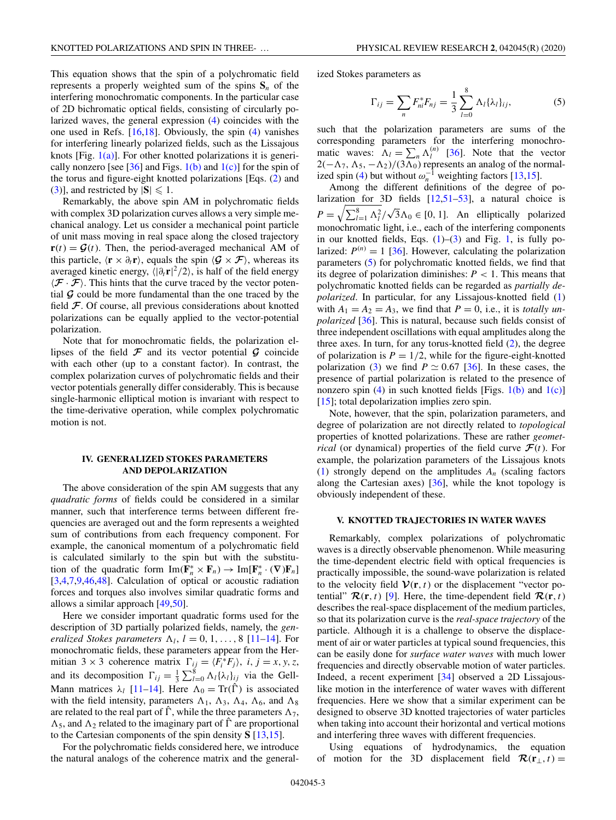This equation shows that the spin of a polychromatic field represents a properly weighted sum of the spins  $S_n$  of the interfering monochromatic components. In the particular case of 2D bichromatic optical fields, consisting of circularly polarized waves, the general expression [\(4\)](#page-1-0) coincides with the one used in Refs.  $[16,18]$ . Obviously, the spin  $(4)$  vanishes for interfering linearly polarized fields, such as the Lissajous knots [Fig.  $1(a)$ ]. For other knotted polarizations it is generi-cally nonzero [see [\[36\]](#page-5-0) and Figs.  $1(b)$  and  $1(c)$ ] for the spin of the torus and figure-eight knotted polarizations [Eqs. [\(2\)](#page-1-0) and [\(3\)](#page-1-0)], and restricted by  $|S| \le 1$ .

Remarkably, the above spin AM in polychromatic fields with complex 3D polarization curves allows a very simple mechanical analogy. Let us consider a mechanical point particle of unit mass moving in real space along the closed trajectory  $\mathbf{r}(t) = \mathbf{G}(t)$ . Then, the period-averaged mechanical AM of this particle,  $\langle \mathbf{r} \times \partial_t \mathbf{r} \rangle$ , equals the spin  $\langle \mathcal{G} \times \mathcal{F} \rangle$ , whereas its averaged kinetic energy,  $\langle |\partial_t \mathbf{r}|^2 / 2 \rangle$ , is half of the field energy  $\langle \mathcal{F} \cdot \mathcal{F} \rangle$ . This hints that the curve traced by the vector potential *G* could be more fundamental than the one traced by the field *F*. Of course, all previous considerations about knotted polarizations can be equally applied to the vector-potential polarization.

Note that for monochromatic fields, the polarization ellipses of the field  $\mathcal F$  and its vector potential  $\mathcal G$  coincide with each other (up to a constant factor). In contrast, the complex polarization curves of polychromatic fields and their vector potentials generally differ considerably. This is because single-harmonic elliptical motion is invariant with respect to the time-derivative operation, while complex polychromatic motion is not.

# **IV. GENERALIZED STOKES PARAMETERS AND DEPOLARIZATION**

The above consideration of the spin AM suggests that any *quadratic forms* of fields could be considered in a similar manner, such that interference terms between different frequencies are averaged out and the form represents a weighted sum of contributions from each frequency component. For example, the canonical momentum of a polychromatic field is calculated similarly to the spin but with the substitution of the quadratic form  $\text{Im}(\mathbf{F}_n^* \times \mathbf{F}_n) \to \text{Im}(\mathbf{F}_n^* \cdot (\nabla)\mathbf{F}_n]$ [\[3,4,7,9,](#page-4-0)[46,48\]](#page-5-0). Calculation of optical or acoustic radiation forces and torques also involves similar quadratic forms and allows a similar approach [\[49,50\]](#page-5-0).

Here we consider important quadratic forms used for the description of 3D partially polarized fields, namely, the *generalized Stokes parameters*  $\Lambda_l$ ,  $l = 0, 1, \ldots, 8$  [\[11–14\]](#page-4-0). For monochromatic fields, these parameters appear from the Hermitian 3 × 3 coherence matrix  $\Gamma_{ij} = \langle \overline{F}_i^* \overline{F}_j \rangle$ , *i*, *j* = *x*, *y*, *z*, and its decomposition  $\Gamma_{ij} = \frac{1}{3} \sum_{l=0}^{8} \Lambda_l {\lambda_l} j_{ij}$  via the Gell-Mann matrices  $\lambda_l$  [\[11–14\]](#page-4-0). Here  $\Lambda_0 = \text{Tr}(\hat{\Gamma})$  is associated with the field intensity, parameters  $\Lambda_1$ ,  $\Lambda_3$ ,  $\Lambda_4$ ,  $\Lambda_6$ , and  $\Lambda_8$ are related to the real part of  $\Gamma$ , while the three parameters  $\Lambda_7$ ,  $\Lambda_5$ , and  $\Lambda_2$  related to the imaginary part of  $\hat{\Gamma}$  are proportional to the Cartesian components of the spin density **S** [\[13,15\]](#page-4-0).

For the polychromatic fields considered here, we introduce the natural analogs of the coherence matrix and the generalized Stokes parameters as

$$
\Gamma_{ij} = \sum_{n} F_{ni}^{*} F_{nj} = \frac{1}{3} \sum_{l=0}^{8} \Lambda_{l} \{\lambda_{l}\}_{ij},
$$
 (5)

such that the polarization parameters are sums of the corresponding parameters for the interfering monochromatic waves:  $\Lambda_l = \sum_n \Lambda_l^{(n)}$  [\[36\]](#page-5-0). Note that the vector  $2(-\Lambda_7, \Lambda_5, -\Lambda_2)/(3\Lambda_0)$  represents an analog of the normal-ized spin [\(4\)](#page-1-0) but without  $\omega_n^{-1}$  weighting factors [\[13,15\]](#page-4-0).

Among the different definitions of the degree of polarization for 3D fields  $[12,51-53]$  $[12,51-53]$ , a natural choice is  $P = \sqrt{\sum_{l=1}^{8} \Lambda_l^2 / \sqrt{3} \Lambda_0} \in [0, 1]$ . An elliptically polarized monochromatic light, i.e., each of the interfering components in our knotted fields, Eqs.  $(1)$ – $(3)$  and Fig. [1,](#page-1-0) is fully polarized:  $P^{(n)} = 1$  [\[36\]](#page-5-0). However, calculating the polarization parameters (5) for polychromatic knotted fields, we find that its degree of polarization diminishes:  $P < 1$ . This means that polychromatic knotted fields can be regarded as *partially depolarized*. In particular, for any Lissajous-knotted field [\(1\)](#page-1-0) with  $A_1 = A_2 = A_3$ , we find that  $P = 0$ , i.e., it is *totally unpolarized* [\[36\]](#page-5-0). This is natural, because such fields consist of three independent oscillations with equal amplitudes along the three axes. In turn, for any torus-knotted field [\(2\)](#page-1-0), the degree of polarization is  $P = 1/2$ , while for the figure-eight-knotted polarization [\(3\)](#page-1-0) we find  $P \simeq 0.67$  [\[36\]](#page-5-0). In these cases, the presence of partial polarization is related to the presence of nonzero spin  $(4)$  in such knotted fields [Figs. [1\(b\)](#page-1-0) and [1\(c\)\]](#page-1-0) [\[15\]](#page-4-0); total depolarization implies zero spin.

Note, however, that the spin, polarization parameters, and degree of polarization are not directly related to *topological* properties of knotted polarizations. These are rather *geometrical* (or dynamical) properties of the field curve  $\mathcal{F}(t)$ . For example, the polarization parameters of the Lissajous knots [\(1\)](#page-1-0) strongly depend on the amplitudes  $A_n$  (scaling factors along the Cartesian axes)  $[36]$ , while the knot topology is obviously independent of these.

## **V. KNOTTED TRAJECTORIES IN WATER WAVES**

Remarkably, complex polarizations of polychromatic waves is a directly observable phenomenon. While measuring the time-dependent electric field with optical frequencies is practically impossible, the sound-wave polarization is related to the velocity field  $V(r, t)$  or the displacement "vector potential"  $\mathcal{R}(\mathbf{r},t)$  [\[9\]](#page-4-0). Here, the time-dependent field  $\mathcal{R}(\mathbf{r},t)$ describes the real-space displacement of the medium particles, so that its polarization curve is the *real-space trajectory* of the particle. Although it is a challenge to observe the displacement of air or water particles at typical sound frequencies, this can be easily done for *surface water waves* with much lower frequencies and directly observable motion of water particles. Indeed, a recent experiment [\[34\]](#page-5-0) observed a 2D Lissajouslike motion in the interference of water waves with different frequencies. Here we show that a similar experiment can be designed to observe 3D knotted trajectories of water particles when taking into account their horizontal and vertical motions and interfering three waves with different frequencies.

Using equations of hydrodynamics, the equation of motion for the 3D displacement field  $\mathcal{R}(\mathbf{r}_{\perp},t)$  =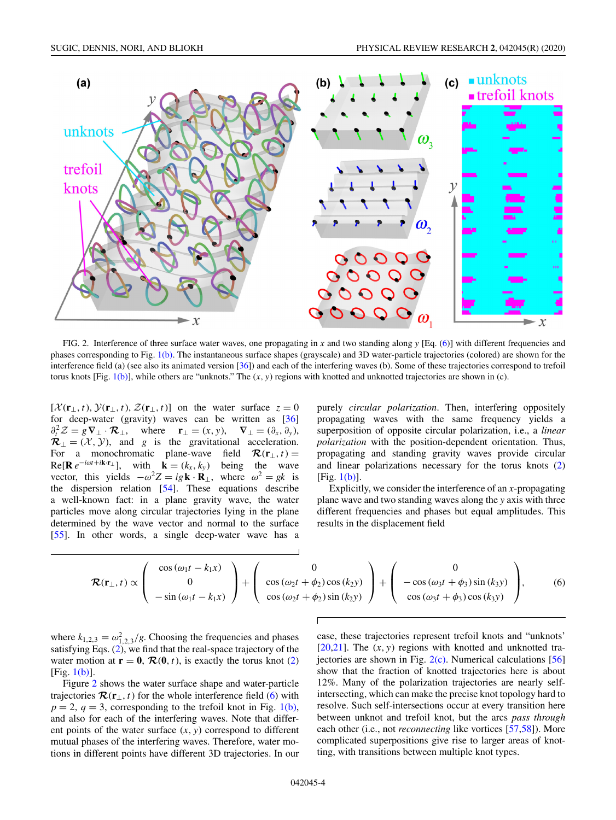

FIG. 2. Interference of three surface water waves, one propagating in *x* and two standing along *y* [Eq. (6)] with different frequencies and phases corresponding to Fig. [1\(b\).](#page-1-0) The instantaneous surface shapes (grayscale) and 3D water-particle trajectories (colored) are shown for the interference field (a) (see also its animated version [\[36\]](#page-5-0)) and each of the interfering waves (b). Some of these trajectories correspond to trefoil torus knots [Fig. [1\(b\)\]](#page-1-0), while others are "unknots." The (*x*, *y*) regions with knotted and unknotted trajectories are shown in (c).

 $[\mathcal{X}(\mathbf{r}_\perp,t),\mathcal{Y}(\mathbf{r}_\perp,t),\mathcal{Z}(\mathbf{r}_\perp,t)]$  on the water surface  $z=0$ for deep-water (gravity) waves can be written as [\[36\]](#page-5-0)  $\partial_t^2 \mathcal{Z} = g \nabla_\perp \cdot \mathcal{R}_\perp$ , where  $\mathbf{r}_\perp = (x, y), \nabla_\perp = (\partial_x, \partial_y)$ ,  $\mathcal{R}_{\perp} = (\mathcal{X}, \mathcal{Y})$ , and *g* is the gravitational acceleration. For a monochromatic plane-wave field  $\mathcal{R}(\mathbf{r}_{\perp},t)$  =  $\text{Re}[\mathbf{R} e^{-i\omega t + i\mathbf{k} \cdot \mathbf{r}_{\perp}}],$  with  $\mathbf{k} = (k_x, k_y)$  being the wave vector, this yields  $-\omega^2 Z = ig \mathbf{k} \cdot \mathbf{R}_{\perp}$ , where  $\omega^2 = g k$  is the dispersion relation [\[54\]](#page-5-0). These equations describe a well-known fact: in a plane gravity wave, the water particles move along circular trajectories lying in the plane determined by the wave vector and normal to the surface [\[55\]](#page-5-0). In other words, a single deep-water wave has a purely *circular polarization*. Then, interfering oppositely propagating waves with the same frequency yields a superposition of opposite circular polarization, i.e., a *linear polarization* with the position-dependent orientation. Thus, propagating and standing gravity waves provide circular and linear polarizations necessary for the torus knots [\(2\)](#page-1-0) [Fig. [1\(b\)\]](#page-1-0).

Explicitly, we consider the interference of an *x*-propagating plane wave and two standing waves along the *y* axis with three different frequencies and phases but equal amplitudes. This results in the displacement field

$$
\mathcal{R}(\mathbf{r}_{\perp},t) \propto \begin{pmatrix} \cos{(\omega_1 t - k_1 x)} \\ 0 \\ -\sin{(\omega_1 t - k_1 x)} \end{pmatrix} + \begin{pmatrix} 0 \\ \cos{(\omega_2 t + \phi_2)}\cos{(k_2 y)} \\ \cos{(\omega_2 t + \phi_2)}\sin{(k_2 y)} \end{pmatrix} + \begin{pmatrix} 0 \\ -\cos{(\omega_3 t + \phi_3)}\sin{(k_3 y)} \\ \cos{(\omega_3 t + \phi_3)}\cos{(k_3 y)} \end{pmatrix},
$$
(6)

where  $k_{1,2,3} = \omega_{1,2,3}^2/g$ . Choosing the frequencies and phases satisfying Eqs. [\(2\)](#page-1-0), we find that the real-space trajectory of the water motion at  $\mathbf{r} = \mathbf{0}, \mathcal{R}(\mathbf{0}, t)$ , is exactly the torus knot [\(2\)](#page-1-0) [Fig. [1\(b\)\]](#page-1-0).

Figure 2 shows the water surface shape and water-particle trajectories  $\mathcal{R}(\mathbf{r}_{\perp},t)$  for the whole interference field (6) with  $p = 2$ ,  $q = 3$ , corresponding to the trefoil knot in Fig. [1\(b\),](#page-1-0) and also for each of the interfering waves. Note that different points of the water surface  $(x, y)$  correspond to different mutual phases of the interfering waves. Therefore, water motions in different points have different 3D trajectories. In our case, these trajectories represent trefoil knots and "unknots' [ $20,21$ ]. The  $(x, y)$  regions with knotted and unknotted trajectories are shown in Fig.  $2(c)$ . Numerical calculations [\[56\]](#page-5-0) show that the fraction of knotted trajectories here is about 12%. Many of the polarization trajectories are nearly selfintersecting, which can make the precise knot topology hard to resolve. Such self-intersections occur at every transition here between unknot and trefoil knot, but the arcs *pass through* each other (i.e., not *reconnecting* like vortices [\[57,58\]](#page-5-0)). More complicated superpositions give rise to larger areas of knotting, with transitions between multiple knot types.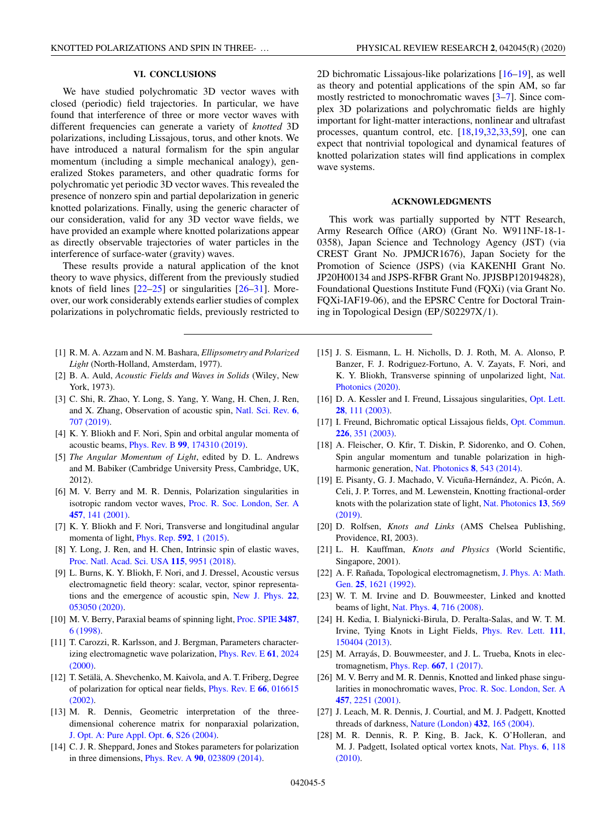# **VI. CONCLUSIONS**

<span id="page-4-0"></span>We have studied polychromatic 3D vector waves with closed (periodic) field trajectories. In particular, we have found that interference of three or more vector waves with different frequencies can generate a variety of *knotted* 3D polarizations, including Lissajous, torus, and other knots. We have introduced a natural formalism for the spin angular momentum (including a simple mechanical analogy), generalized Stokes parameters, and other quadratic forms for polychromatic yet periodic 3D vector waves. This revealed the presence of nonzero spin and partial depolarization in generic knotted polarizations. Finally, using the generic character of our consideration, valid for any 3D vector wave fields, we have provided an example where knotted polarizations appear as directly observable trajectories of water particles in the interference of surface-water (gravity) waves.

These results provide a natural application of the knot theory to wave physics, different from the previously studied knots of field lines  $[22-25]$  or singularities  $[26-31]$ . Moreover, our work considerably extends earlier studies of complex polarizations in polychromatic fields, previously restricted to

- [1] R. M. A. Azzam and N. M. Bashara, *Ellipsometry and Polarized Light* (North-Holland, Amsterdam, 1977).
- [2] B. A. Auld, *Acoustic Fields and Waves in Solids* (Wiley, New York, 1973).
- [3] C. Shi, R. Zhao, Y. Long, S. Yang, Y. Wang, H. Chen, J. Ren, [and X. Zhang, Observation of acoustic spin,](https://doi.org/10.1093/nsr/nwz059) Natl. Sci. Rev. **6**, 707 (2019).
- [4] K. Y. Bliokh and F. Nori, Spin and orbital angular momenta of acoustic beams, Phys. Rev. B **99**[, 174310 \(2019\).](https://doi.org/10.1103/PhysRevB.99.174310)
- [5] *The Angular Momentum of Light*, edited by D. L. Andrews and M. Babiker (Cambridge University Press, Cambridge, UK, 2012).
- [6] M. V. Berry and M. R. Dennis, Polarization singularities in [isotropic random vector waves,](https://doi.org/10.1098/rspa.2000.0660) Proc. R. Soc. London, Ser. A **457**, 141 (2001).
- [7] K. Y. Bliokh and F. Nori, Transverse and longitudinal angular momenta of light, [Phys. Rep.](https://doi.org/10.1016/j.physrep.2015.06.003) **592**, 1 (2015).
- [8] Y. Long, J. Ren, and H. Chen, Intrinsic spin of elastic waves, [Proc. Natl. Acad. Sci. USA](https://doi.org/10.1073/pnas.1808534115) **115**, 9951 (2018).
- [9] L. Burns, K. Y. Bliokh, F. Nori, and J. Dressel, Acoustic versus electromagnetic field theory: scalar, vector, spinor representa[tions and the emergence of acoustic spin,](https://doi.org/10.1088/1367-2630/ab7f91) New J. Phys. **22**, 053050 (2020).
- [10] [M. V. Berry, Paraxial beams of spinning light,](https://doi.org/10.1117/12.317704) Proc. SPIE **3487**, 6 (1998).
- [11] T. Carozzi, R. Karlsson, and J. Bergman, Parameters character[izing electromagnetic wave polarization,](https://doi.org/10.1103/PhysRevE.61.2024) Phys. Rev. E **61**, 2024 (2000).
- [12] T. Setälä, A. Shevchenko, M. Kaivola, and A. T. Friberg, Degree [of polarization for optical near fields,](https://doi.org/10.1103/PhysRevE.66.016615) Phys. Rev. E **66**, 016615 (2002).
- [13] M. R. Dennis, Geometric interpretation of the threedimensional coherence matrix for nonparaxial polarization, [J. Opt. A: Pure Appl. Opt.](https://doi.org/10.1088/1464-4258/6/3/005) **6**, S26 (2004).
- [14] C. J. R. Sheppard, Jones and Stokes parameters for polarization in three dimensions, Phys. Rev. A **90**[, 023809 \(2014\).](https://doi.org/10.1103/PhysRevA.90.023809)

2D bichromatic Lissajous-like polarizations [16–19], as well as theory and potential applications of the spin AM, so far mostly restricted to monochromatic waves [3–7]. Since complex 3D polarizations and polychromatic fields are highly important for light-matter interactions, nonlinear and ultrafast processes, quantum control, etc. [18,19[,32,33,59\]](#page-5-0), one can expect that nontrivial topological and dynamical features of knotted polarization states will find applications in complex wave systems.

#### **ACKNOWLEDGMENTS**

This work was partially supported by NTT Research, Army Research Office (ARO) (Grant No. W911NF-18-1- 0358), Japan Science and Technology Agency (JST) (via CREST Grant No. JPMJCR1676), Japan Society for the Promotion of Science (JSPS) (via KAKENHI Grant No. JP20H00134 and JSPS-RFBR Grant No. JPJSBP120194828), Foundational Questions Institute Fund (FQXi) (via Grant No. FQXi-IAF19-06), and the EPSRC Centre for Doctoral Training in Topological Design (EP/S02297X/1).

- [15] J. S. Eismann, L. H. Nicholls, D. J. Roth, M. A. Alonso, P. Banzer, F. J. Rodriguez-Fortuno, A. V. Zayats, F. Nori, and [K. Y. Bliokh, Transverse spinning of unpolarized light,](https://doi.org/10.1038/s41566-020-00733-3) Nat. Photonics (2020).
- [16] [D. A. Kessler and I. Freund, Lissajous singularities,](https://doi.org/10.1364/OL.28.000111) Opt. Lett. **28**, 111 (2003).
- [17] [I. Freund, Bichromatic optical Lissajous fields,](https://doi.org/10.1016/j.optcom.2003.07.053) Opt. Commun. **226**, 351 (2003).
- [18] A. Fleischer, O. Kfir, T. Diskin, P. Sidorenko, and O. Cohen, Spin angular momentum and tunable polarization in highharmonic generation, [Nat. Photonics](https://doi.org/10.1038/nphoton.2014.108) **8**, 543 (2014).
- [19] E. Pisanty, G. J. Machado, V. Vicuña-Hernández, A. Picón, A. Celi, J. P. Torres, and M. Lewenstein, Knotting fractional-order [knots with the polarization state of light,](https://doi.org/10.1038/s41566-019-0450-2) Nat. Photonics **13**, 569 (2019).
- [20] D. Rolfsen, *Knots and Links* (AMS Chelsea Publishing, Providence, RI, 2003).
- [21] L. H. Kauffman, *Knots and Physics* (World Scientific, Singapore, 2001).
- [22] [A. F. Rañada, Topological electromagnetism,](https://doi.org/10.1088/0305-4470/25/6/020) J. Phys. A: Math. Gen. **25**, 1621 (1992).
- [23] W. T. M. Irvine and D. Bouwmeester, Linked and knotted beams of light, Nat. Phys. **4**[, 716 \(2008\).](https://doi.org/10.1038/nphys1056)
- [24] H. Kedia, I. Bialynicki-Birula, D. Peralta-Salas, and W. T. M. [Irvine, Tying Knots in Light Fields,](https://doi.org/10.1103/PhysRevLett.111.150404) Phys. Rev. Lett. **111**, 150404 (2013).
- [25] M. Arrayás, D. Bouwmeester, and J. L. Trueba, Knots in electromagnetism, [Phys. Rep.](https://doi.org/10.1016/j.physrep.2016.11.001) **667**, 1 (2017).
- [26] M. V. Berry and M. R. Dennis, Knotted and linked phase singu[larities in monochromatic waves,](https://doi.org/10.1098/rspa.2001.0826) Proc. R. Soc. London, Ser. A **457**, 2251 (2001).
- [27] J. Leach, M. R. Dennis, J. Courtial, and M. J. Padgett, Knotted threads of darkness, [Nature \(London\)](https://doi.org/10.1038/432165a) **432**, 165 (2004).
- [28] M. R. Dennis, R. P. King, B. Jack, K. O'Holleran, and [M. J. Padgett, Isolated optical vortex knots,](https://doi.org/10.1038/nphys1504) Nat. Phys. **6**, 118 (2010).